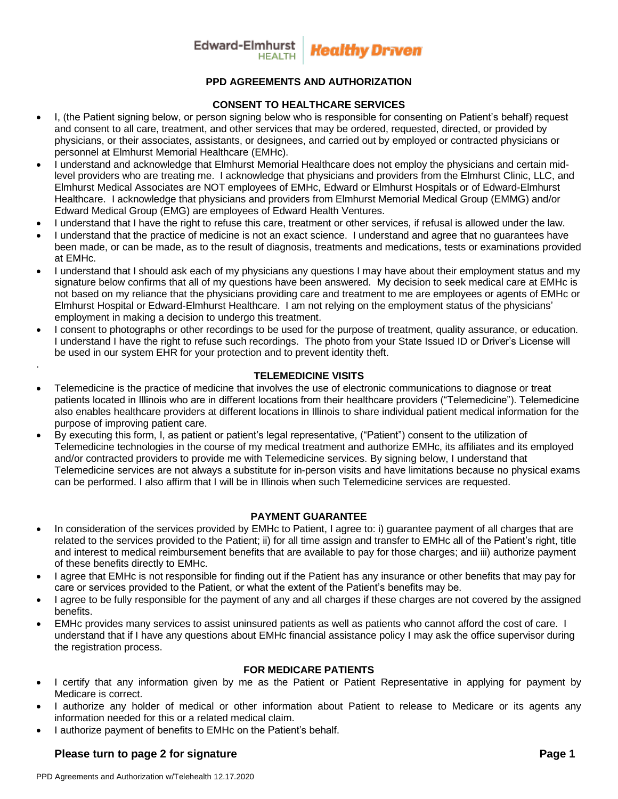

# **PPD AGREEMENTS AND AUTHORIZATION**

## **CONSENT TO HEALTHCARE SERVICES**

- I, (the Patient signing below, or person signing below who is responsible for consenting on Patient's behalf) request and consent to all care, treatment, and other services that may be ordered, requested, directed, or provided by physicians, or their associates, assistants, or designees, and carried out by employed or contracted physicians or personnel at Elmhurst Memorial Healthcare (EMHc).
- I understand and acknowledge that Elmhurst Memorial Healthcare does not employ the physicians and certain midlevel providers who are treating me. I acknowledge that physicians and providers from the Elmhurst Clinic, LLC, and Elmhurst Medical Associates are NOT employees of EMHc, Edward or Elmhurst Hospitals or of Edward-Elmhurst Healthcare. I acknowledge that physicians and providers from Elmhurst Memorial Medical Group (EMMG) and/or Edward Medical Group (EMG) are employees of Edward Health Ventures.
- I understand that I have the right to refuse this care, treatment or other services, if refusal is allowed under the law.
- I understand that the practice of medicine is not an exact science. I understand and agree that no guarantees have been made, or can be made, as to the result of diagnosis, treatments and medications, tests or examinations provided at EMHc.
- I understand that I should ask each of my physicians any questions I may have about their employment status and my signature below confirms that all of my questions have been answered. My decision to seek medical care at EMHc is not based on my reliance that the physicians providing care and treatment to me are employees or agents of EMHc or Elmhurst Hospital or Edward-Elmhurst Healthcare. I am not relying on the employment status of the physicians' employment in making a decision to undergo this treatment.
- I consent to photographs or other recordings to be used for the purpose of treatment, quality assurance, or education. I understand I have the right to refuse such recordings. The photo from your State Issued ID or Driver's License will be used in our system EHR for your protection and to prevent identity theft.

#### **TELEMEDICINE VISITS**

- Telemedicine is the practice of medicine that involves the use of electronic communications to diagnose or treat patients located in Illinois who are in different locations from their healthcare providers ("Telemedicine"). Telemedicine also enables healthcare providers at different locations in Illinois to share individual patient medical information for the purpose of improving patient care.
- By executing this form, I, as patient or patient's legal representative, ("Patient") consent to the utilization of Telemedicine technologies in the course of my medical treatment and authorize EMHc, its affiliates and its employed and/or contracted providers to provide me with Telemedicine services. By signing below, I understand that Telemedicine services are not always a substitute for in-person visits and have limitations because no physical exams can be performed. I also affirm that I will be in Illinois when such Telemedicine services are requested.

# **PAYMENT GUARANTEE**

- In consideration of the services provided by EMHc to Patient, I agree to: i) guarantee payment of all charges that are related to the services provided to the Patient; ii) for all time assign and transfer to EMHc all of the Patient's right, title and interest to medical reimbursement benefits that are available to pay for those charges; and iii) authorize payment of these benefits directly to EMHc.
- I agree that EMHc is not responsible for finding out if the Patient has any insurance or other benefits that may pay for care or services provided to the Patient, or what the extent of the Patient's benefits may be.
- I agree to be fully responsible for the payment of any and all charges if these charges are not covered by the assigned benefits.
- EMHc provides many services to assist uninsured patients as well as patients who cannot afford the cost of care. I understand that if I have any questions about EMHc financial assistance policy I may ask the office supervisor during the registration process.

#### **FOR MEDICARE PATIENTS**

- I certify that any information given by me as the Patient or Patient Representative in applying for payment by Medicare is correct.
- I authorize any holder of medical or other information about Patient to release to Medicare or its agents any information needed for this or a related medical claim.
- I authorize payment of benefits to EMHc on the Patient's behalf.

# **Please turn to page 2 for signature example 2 and 2 and 2 and 2 and 2 and 2 and 2 and 2 and 2 and 2 and 2 and 2 and 2 and 2 and 2 and 2 and 2 and 2 and 2 and 2 and 2 and 2 and 2 and 2 and 2 and 2 and 2 and 2 and 2 and 2 a**

.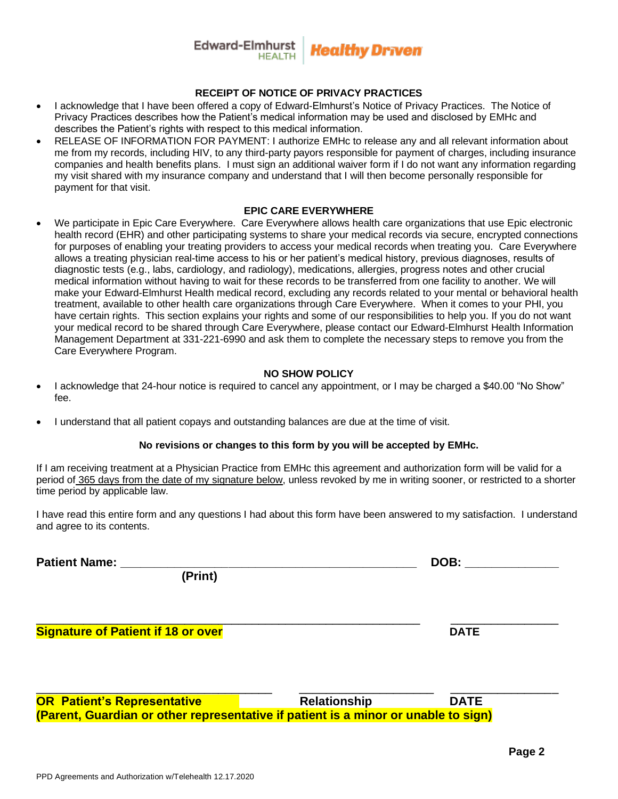## Edward-Elmhurst **'Iealthy Drīven**

#### **RECEIPT OF NOTICE OF PRIVACY PRACTICES**

- I acknowledge that I have been offered a copy of Edward-Elmhurst's Notice of Privacy Practices. The Notice of Privacy Practices describes how the Patient's medical information may be used and disclosed by EMHc and describes the Patient's rights with respect to this medical information.
- RELEASE OF INFORMATION FOR PAYMENT: I authorize EMHc to release any and all relevant information about me from my records, including HIV, to any third-party payors responsible for payment of charges, including insurance companies and health benefits plans. I must sign an additional waiver form if I do not want any information regarding my visit shared with my insurance company and understand that I will then become personally responsible for payment for that visit.

#### **EPIC CARE EVERYWHERE**

• We participate in Epic Care Everywhere. Care Everywhere allows health care organizations that use Epic electronic health record (EHR) and other participating systems to share your medical records via secure, encrypted connections for purposes of enabling your treating providers to access your medical records when treating you. Care Everywhere allows a treating physician real-time access to his or her patient's medical history, previous diagnoses, results of diagnostic tests (e.g., labs, cardiology, and radiology), medications, allergies, progress notes and other crucial medical information without having to wait for these records to be transferred from one facility to another. We will make your Edward-Elmhurst Health medical record, excluding any records related to your mental or behavioral health treatment, available to other health care organizations through Care Everywhere. When it comes to your PHI, you have certain rights. This section explains your rights and some of our responsibilities to help you. If you do not want your medical record to be shared through Care Everywhere, please contact our Edward-Elmhurst Health Information Management Department at 331-221-6990 and ask them to complete the necessary steps to remove you from the Care Everywhere Program.

## **NO SHOW POLICY**

- I acknowledge that 24-hour notice is required to cancel any appointment, or I may be charged a \$40.00 "No Show"  $f_{\mathsf{A}}$
- I understand that all patient copays and outstanding balances are due at the time of visit.

#### **No revisions or changes to this form by you will be accepted by EMHc.**

If I am receiving treatment at a Physician Practice from EMHc this agreement and authorization form will be valid for a period of 365 days from the date of my signature below, unless revoked by me in writing sooner, or restricted to a shorter time period by applicable law.

I have read this entire form and any questions I had about this form have been answered to my satisfaction. I understand and agree to its contents.

\_\_\_\_\_\_\_\_\_\_\_\_\_\_\_\_\_\_\_\_\_\_\_\_\_\_\_\_\_\_\_\_\_\_\_\_\_\_\_\_\_\_\_\_\_\_\_\_\_\_\_\_\_\_\_\_\_ \_\_\_\_\_\_\_\_\_\_\_\_\_\_\_\_

| <b>Patient Name:</b> |  |
|----------------------|--|
|----------------------|--|

**POB: \_\_\_\_\_\_\_\_\_\_\_\_\_\_\_** 

 **(Print)**

**Signature of Patient if 18 or over BIO CONSTRUCTER SHOW THE CONSTRUCTER SHOW OF PATE** 

\_\_\_\_\_\_\_\_\_\_\_\_\_\_\_\_\_\_\_\_\_\_\_\_\_\_\_\_\_\_\_\_\_\_\_ \_\_\_\_\_\_\_\_\_\_\_\_\_\_\_\_\_\_\_\_ \_\_\_\_\_\_\_\_\_\_\_\_\_\_\_\_ **OR Patient's Representative COV Relationship COV BATE (Parent, Guardian or other representative if patient is a minor or unable to sign)**